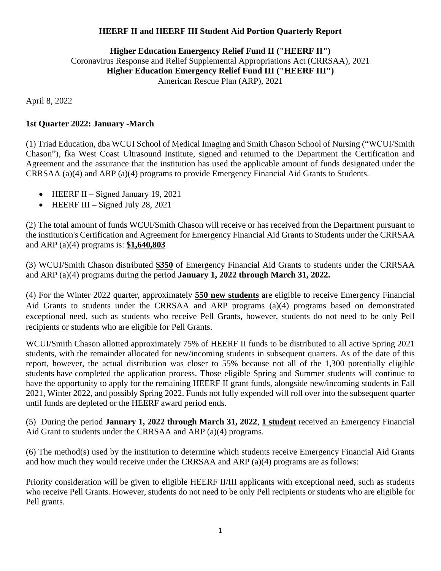## **HEERF II and HEERF III Student Aid Portion Quarterly Report**

## **Higher Education Emergency Relief Fund II ("HEERF II")**  Coronavirus Response and Relief Supplemental Appropriations Act (CRRSAA), 2021 **Higher Education Emergency Relief Fund III ("HEERF III")**  American Rescue Plan (ARP), 2021

April 8, 2022

## **1st Quarter 2022: January -March**

(1) Triad Education, dba WCUI School of Medical Imaging and Smith Chason School of Nursing ("WCUI/Smith Chason"), fka West Coast Ultrasound Institute, signed and returned to the Department the Certification and Agreement and the assurance that the institution has used the applicable amount of funds designated under the CRRSAA (a)(4) and ARP (a)(4) programs to provide Emergency Financial Aid Grants to Students.

- HEERF II Signed January 19, 2021
- HEERF III Signed July 28, 2021

(2) The total amount of funds WCUI/Smith Chason will receive or has received from the Department pursuant to the institution's Certification and Agreement for Emergency Financial Aid Grants to Students under the CRRSAA and ARP (a)(4) programs is: **\$1,640,803**

(3) WCUI/Smith Chason distributed **\$350** of Emergency Financial Aid Grants to students under the CRRSAA and ARP (a)(4) programs during the period **January 1, 2022 through March 31, 2022.**

(4) For the Winter 2022 quarter, approximately **550 new students** are eligible to receive Emergency Financial Aid Grants to students under the CRRSAA and ARP programs (a)(4) programs based on demonstrated exceptional need, such as students who receive Pell Grants, however, students do not need to be only Pell recipients or students who are eligible for Pell Grants.

WCUI/Smith Chason allotted approximately 75% of HEERF II funds to be distributed to all active Spring 2021 students, with the remainder allocated for new/incoming students in subsequent quarters. As of the date of this report, however, the actual distribution was closer to 55% because not all of the 1,300 potentially eligible students have completed the application process. Those eligible Spring and Summer students will continue to have the opportunity to apply for the remaining HEERF II grant funds, alongside new/incoming students in Fall 2021, Winter 2022, and possibly Spring 2022. Funds not fully expended will roll over into the subsequent quarter until funds are depleted or the HEERF award period ends.

(5) During the period **January 1, 2022 through March 31, 2022**, **1 student** received an Emergency Financial Aid Grant to students under the CRRSAA and ARP (a)(4) programs.

(6) The method(s) used by the institution to determine which students receive Emergency Financial Aid Grants and how much they would receive under the CRRSAA and ARP (a)(4) programs are as follows:

Priority consideration will be given to eligible HEERF II/III applicants with exceptional need, such as students who receive Pell Grants. However, students do not need to be only Pell recipients or students who are eligible for Pell grants.